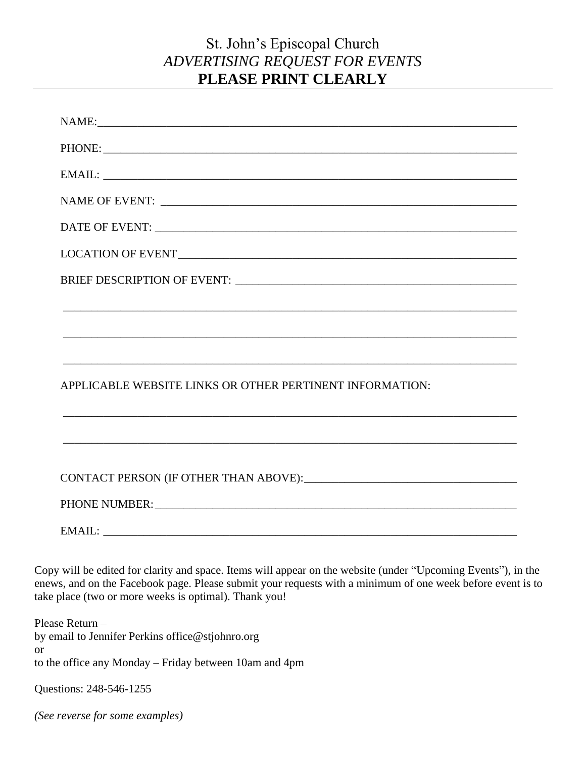## St. John's Episcopal Church *ADVERTISING REQUEST FOR EVENTS* **PLEASE PRINT CLEARLY**

| NAME: NAME:                                                                                                                                                                                                                    |
|--------------------------------------------------------------------------------------------------------------------------------------------------------------------------------------------------------------------------------|
|                                                                                                                                                                                                                                |
|                                                                                                                                                                                                                                |
|                                                                                                                                                                                                                                |
|                                                                                                                                                                                                                                |
|                                                                                                                                                                                                                                |
|                                                                                                                                                                                                                                |
|                                                                                                                                                                                                                                |
|                                                                                                                                                                                                                                |
|                                                                                                                                                                                                                                |
| APPLICABLE WEBSITE LINKS OR OTHER PERTINENT INFORMATION:                                                                                                                                                                       |
| ,我们也不会有什么。""我们的人,我们也不会有什么?""我们的人,我们也不会有什么?""我们的人,我们也不会有什么?""我们的人,我们也不会有什么?""我们的人                                                                                                                                               |
|                                                                                                                                                                                                                                |
|                                                                                                                                                                                                                                |
|                                                                                                                                                                                                                                |
| PHONE NUMBER: University of the set of the set of the set of the set of the set of the set of the set of the set of the set of the set of the set of the set of the set of the set of the set of the set of the set of the set |
|                                                                                                                                                                                                                                |

Copy will be edited for clarity and space. Items will appear on the website (under "Upcoming Events"), in the enews, and on the Facebook page. Please submit your requests with a minimum of one week before event is to take place (two or more weeks is optimal). Thank you!

Please Return – by email to Jennifer Perkins office@stjohnro.org or to the office any Monday – Friday between 10am and 4pm

Questions: 248-546-1255

*(See reverse for some examples)*